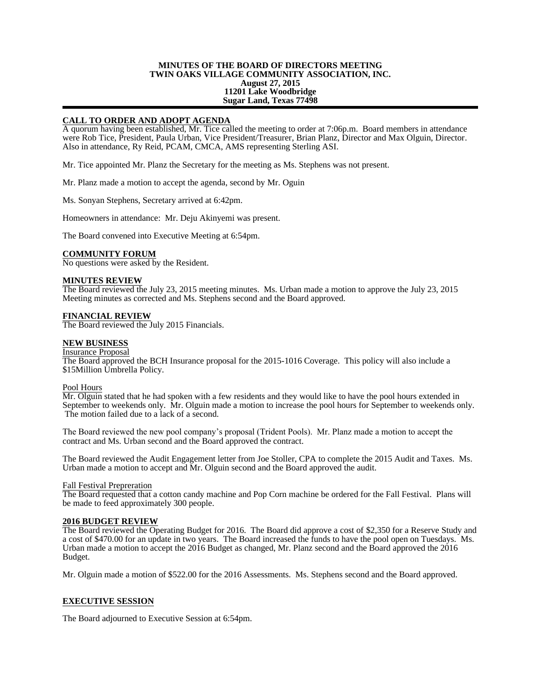## **MINUTES OF THE BOARD OF DIRECTORS MEETING TWIN OAKS VILLAGE COMMUNITY ASSOCIATION, INC. August 27, 2015 11201 Lake Woodbridge Sugar Land, Texas 77498**

# **CALL TO ORDER AND ADOPT AGENDA**

A quorum having been established, Mr. Tice called the meeting to order at 7:06p.m. Board members in attendance were Rob Tice, President, Paula Urban, Vice President/Treasurer, Brian Planz, Director and Max Olguin, Director. Also in attendance, Ry Reid, PCAM, CMCA, AMS representing Sterling ASI.

Mr. Tice appointed Mr. Planz the Secretary for the meeting as Ms. Stephens was not present.

Mr. Planz made a motion to accept the agenda, second by Mr. Oguin

Ms. Sonyan Stephens, Secretary arrived at 6:42pm.

Homeowners in attendance: Mr. Deju Akinyemi was present.

The Board convened into Executive Meeting at 6:54pm.

## **COMMUNITY FORUM**

No questions were asked by the Resident.

#### **MINUTES REVIEW**

The Board reviewed the July 23, 2015 meeting minutes. Ms. Urban made a motion to approve the July 23, 2015 Meeting minutes as corrected and Ms. Stephens second and the Board approved.

## **FINANCIAL REVIEW**

The Board reviewed the July 2015 Financials.

## **NEW BUSINESS**

#### Insurance Proposal

The Board approved the BCH Insurance proposal for the 2015-1016 Coverage. This policy will also include a \$15Million Umbrella Policy.

#### Pool Hours

Mr. Olguin stated that he had spoken with a few residents and they would like to have the pool hours extended in September to weekends only. Mr. Olguin made a motion to increase the pool hours for September to weekends only. The motion failed due to a lack of a second.

The Board reviewed the new pool company's proposal (Trident Pools). Mr. Planz made a motion to accept the contract and Ms. Urban second and the Board approved the contract.

The Board reviewed the Audit Engagement letter from Joe Stoller, CPA to complete the 2015 Audit and Taxes. Ms. Urban made a motion to accept and Mr. Olguin second and the Board approved the audit.

#### Fall Festival Prepreration

The Board requested that a cotton candy machine and Pop Corn machine be ordered for the Fall Festival. Plans will be made to feed approximately 300 people.

# **2016 BUDGET REVIEW**

The Board reviewed the Operating Budget for 2016. The Board did approve a cost of \$2,350 for a Reserve Study and a cost of \$470.00 for an update in two years. The Board increased the funds to have the pool open on Tuesdays. Ms. Urban made a motion to accept the 2016 Budget as changed, Mr. Planz second and the Board approved the 2016 Budget.

Mr. Olguin made a motion of \$522.00 for the 2016 Assessments. Ms. Stephens second and the Board approved.

# **EXECUTIVE SESSION**

The Board adjourned to Executive Session at 6:54pm.